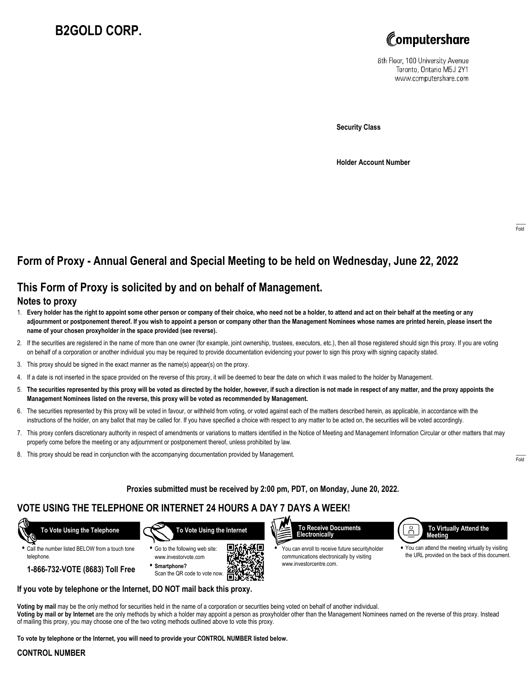# **B2GOLD CORP.**



8th Floor, 100 University Avenue Toronto, Ontario M5J 2Y1 www.computershare.com

**Security Class**

**Holder Account Number**

## **Form of Proxy - Annual General and Special Meeting to be held on Wednesday, June 22, 2022**

### **This Form of Proxy is solicited by and on behalf of Management.**

#### **Notes to proxy**

- 1. **Every holder has the right to appoint some other person or company of their choice, who need not be a holder, to attend and act on their behalf at the meeting or any adjournment or postponement thereof. If you wish to appoint a person or company other than the Management Nominees whose names are printed herein, please insert the name of your chosen proxyholder in the space provided (see reverse).**
- 2. If the securities are registered in the name of more than one owner (for example, joint ownership, trustees, executors, etc.), then all those registered should sign this proxy. If you are voting on behalf of a corporation or another individual you may be required to provide documentation evidencing your power to sign this proxy with signing capacity stated.
- 3. This proxy should be signed in the exact manner as the name(s) appear(s) on the proxy.
- 4. If a date is not inserted in the space provided on the reverse of this proxy, it will be deemed to bear the date on which it was mailed to the holder by Management.
- 5. **The securities represented by this proxy will be voted as directed by the holder, however, if such a direction is not made in respect of any matter, and the proxy appoints the Management Nominees listed on the reverse, this proxy will be voted as recommended by Management.**
- 6. The securities represented by this proxy will be voted in favour, or withheld from voting, or voted against each of the matters described herein, as applicable, in accordance with the instructions of the holder, on any ballot that may be called for. If you have specified a choice with respect to any matter to be acted on, the securities will be voted accordingly.
- 7. This proxy confers discretionary authority in respect of amendments or variations to matters identified in the Notice of Meeting and Management Information Circular or other matters that may properly come before the meeting or any adjournment or postponement thereof, unless prohibited by law.
- 8. This proxy should be read in conjunction with the accompanying documentation provided by Management.

**Proxies submitted must be received by 2:00 pm, PDT, on Monday, June 20, 2022.**

### **VOTE USING THE TELEPHONE OR INTERNET 24 HOURS A DAY 7 DAYS A WEEK!**



**•** Call the number listed BELOW from a touch tone telephone.

**1-866-732-VOTE (8683) Toll Free**







**•** You can enroll to receive future securityholder communications electronically by visiting www.investorcentre.com.



**•** You can attend the meeting virtually by visiting the URL provided on the back of this document.

**If you vote by telephone or the Internet, DO NOT mail back this proxy.**

**Voting by mail** may be the only method for securities held in the name of a corporation or securities being voted on behalf of another individual. **Voting by mail or by Internet** are the only methods by which a holder may appoint a person as proxyholder other than the Management Nominees named on the reverse of this proxy. Instead of mailing this proxy, you may choose one of the two voting methods outlined above to vote this proxy.

ÆП

**To vote by telephone or the Internet, you will need to provide your CONTROL NUMBER listed below.**

#### **CONTROL NUMBER**